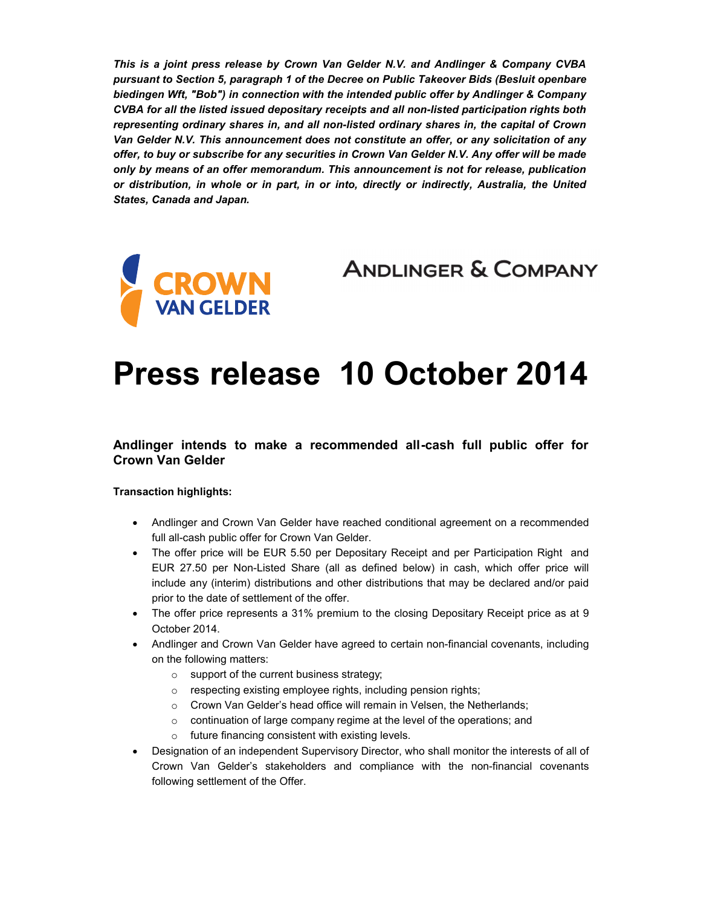*This is a joint press release by Crown Van Gelder N.V. and Andlinger & Company CVBA pursuant to Section 5, paragraph 1 of the Decree on Public Takeover Bids (Besluit openbare biedingen Wft, "Bob") in connection with the intended public offer by Andlinger & Company CVBA for all the listed issued depositary receipts and all non-listed participation rights both representing ordinary shares in, and all non-listed ordinary shares in, the capital of Crown Van Gelder N.V. This announcement does not constitute an offer, or any solicitation of any offer, to buy or subscribe for any securities in Crown Van Gelder N.V. Any offer will be made only by means of an offer memorandum. This announcement is not for release, publication or distribution, in whole or in part, in or into, directly or indirectly, Australia, the United States, Canada and Japan.* 



**ANDLINGER & COMPANY** 

# **Press release 10 October 2014**

#### **Andlinger intends to make a recommended all-cash full public offer for Crown Van Gelder**

#### **Transaction highlights:**

- Andlinger and Crown Van Gelder have reached conditional agreement on a recommended full all-cash public offer for Crown Van Gelder.
- The offer price will be EUR 5.50 per Depositary Receipt and per Participation Right and EUR 27.50 per Non-Listed Share (all as defined below) in cash, which offer price will include any (interim) distributions and other distributions that may be declared and/or paid prior to the date of settlement of the offer.
- The offer price represents a 31% premium to the closing Depositary Receipt price as at 9 October 2014.
- Andlinger and Crown Van Gelder have agreed to certain non-financial covenants, including on the following matters:
	- o support of the current business strategy;
	- o respecting existing employee rights, including pension rights;
	- o Crown Van Gelder's head office will remain in Velsen, the Netherlands;
	- o continuation of large company regime at the level of the operations; and
	- o future financing consistent with existing levels.
- Designation of an independent Supervisory Director, who shall monitor the interests of all of Crown Van Gelder's stakeholders and compliance with the non-financial covenants following settlement of the Offer.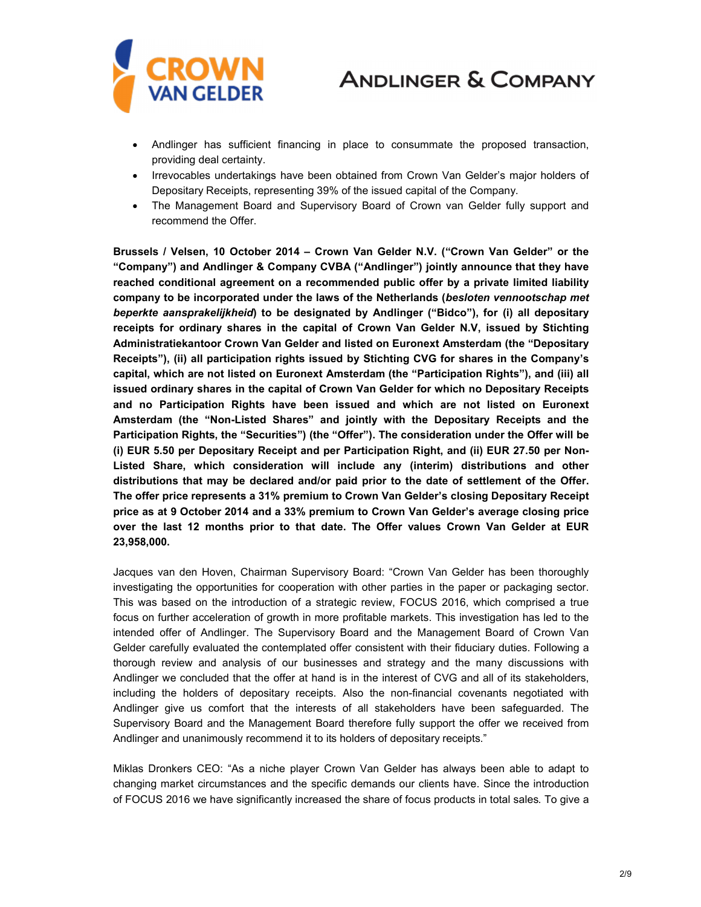

- Andlinger has sufficient financing in place to consummate the proposed transaction, providing deal certainty.
- Irrevocables undertakings have been obtained from Crown Van Gelder's major holders of Depositary Receipts, representing 39% of the issued capital of the Company.
- The Management Board and Supervisory Board of Crown van Gelder fully support and recommend the Offer.

**Brussels / Velsen, 10 October 2014 – Crown Van Gelder N.V. ("Crown Van Gelder" or the "Company") and Andlinger & Company CVBA ("Andlinger") jointly announce that they have reached conditional agreement on a recommended public offer by a private limited liability company to be incorporated under the laws of the Netherlands (***besloten vennootschap met beperkte aansprakelijkheid***) to be designated by Andlinger ("Bidco"), for (i) all depositary receipts for ordinary shares in the capital of Crown Van Gelder N.V, issued by Stichting Administratiekantoor Crown Van Gelder and listed on Euronext Amsterdam (the "Depositary Receipts"), (ii) all participation rights issued by Stichting CVG for shares in the Company's capital, which are not listed on Euronext Amsterdam (the "Participation Rights"), and (iii) all issued ordinary shares in the capital of Crown Van Gelder for which no Depositary Receipts and no Participation Rights have been issued and which are not listed on Euronext Amsterdam (the "Non-Listed Shares" and jointly with the Depositary Receipts and the Participation Rights, the "Securities") (the "Offer"). The consideration under the Offer will be (i) EUR 5.50 per Depositary Receipt and per Participation Right, and (ii) EUR 27.50 per Non-Listed Share, which consideration will include any (interim) distributions and other distributions that may be declared and/or paid prior to the date of settlement of the Offer. The offer price represents a 31% premium to Crown Van Gelder's closing Depositary Receipt price as at 9 October 2014 and a 33% premium to Crown Van Gelder's average closing price over the last 12 months prior to that date. The Offer values Crown Van Gelder at EUR 23,958,000.** 

Jacques van den Hoven, Chairman Supervisory Board: "Crown Van Gelder has been thoroughly investigating the opportunities for cooperation with other parties in the paper or packaging sector. This was based on the introduction of a strategic review, FOCUS 2016, which comprised a true focus on further acceleration of growth in more profitable markets. This investigation has led to the intended offer of Andlinger. The Supervisory Board and the Management Board of Crown Van Gelder carefully evaluated the contemplated offer consistent with their fiduciary duties. Following a thorough review and analysis of our businesses and strategy and the many discussions with Andlinger we concluded that the offer at hand is in the interest of CVG and all of its stakeholders, including the holders of depositary receipts. Also the non-financial covenants negotiated with Andlinger give us comfort that the interests of all stakeholders have been safeguarded. The Supervisory Board and the Management Board therefore fully support the offer we received from Andlinger and unanimously recommend it to its holders of depositary receipts."

Miklas Dronkers CEO: "As a niche player Crown Van Gelder has always been able to adapt to changing market circumstances and the specific demands our clients have. Since the introduction of FOCUS 2016 we have significantly increased the share of focus products in total sales. To give a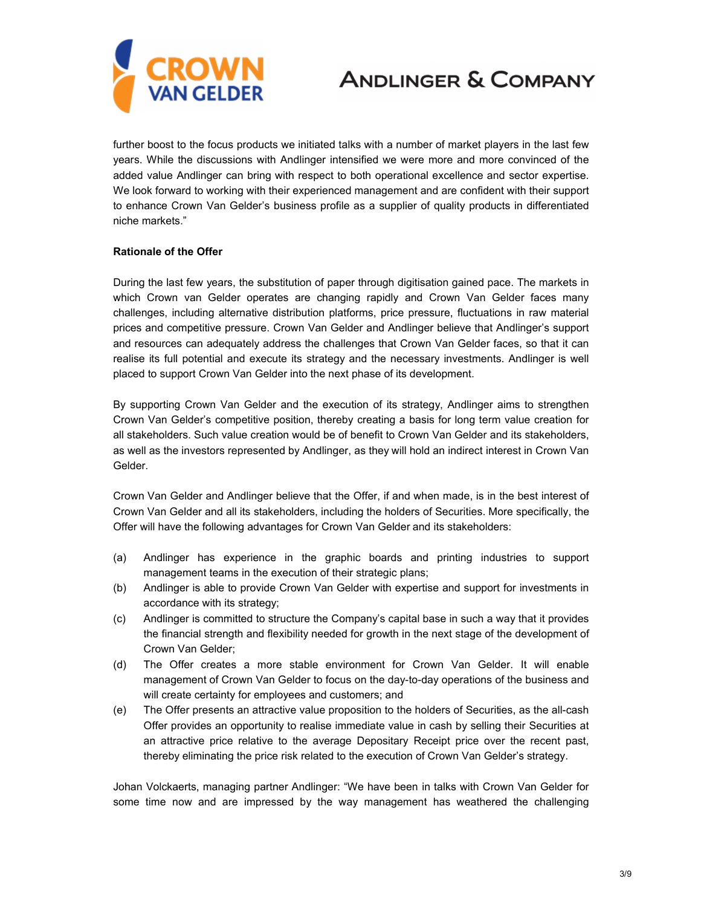

further boost to the focus products we initiated talks with a number of market players in the last few years. While the discussions with Andlinger intensified we were more and more convinced of the added value Andlinger can bring with respect to both operational excellence and sector expertise. We look forward to working with their experienced management and are confident with their support to enhance Crown Van Gelder's business profile as a supplier of quality products in differentiated niche markets."

#### **Rationale of the Offer**

During the last few years, the substitution of paper through digitisation gained pace. The markets in which Crown van Gelder operates are changing rapidly and Crown Van Gelder faces many challenges, including alternative distribution platforms, price pressure, fluctuations in raw material prices and competitive pressure. Crown Van Gelder and Andlinger believe that Andlinger's support and resources can adequately address the challenges that Crown Van Gelder faces, so that it can realise its full potential and execute its strategy and the necessary investments. Andlinger is well placed to support Crown Van Gelder into the next phase of its development.

By supporting Crown Van Gelder and the execution of its strategy, Andlinger aims to strengthen Crown Van Gelder's competitive position, thereby creating a basis for long term value creation for all stakeholders. Such value creation would be of benefit to Crown Van Gelder and its stakeholders, as well as the investors represented by Andlinger, as they will hold an indirect interest in Crown Van Gelder.

Crown Van Gelder and Andlinger believe that the Offer, if and when made, is in the best interest of Crown Van Gelder and all its stakeholders, including the holders of Securities. More specifically, the Offer will have the following advantages for Crown Van Gelder and its stakeholders:

- (a) Andlinger has experience in the graphic boards and printing industries to support management teams in the execution of their strategic plans;
- (b) Andlinger is able to provide Crown Van Gelder with expertise and support for investments in accordance with its strategy;
- (c) Andlinger is committed to structure the Company's capital base in such a way that it provides the financial strength and flexibility needed for growth in the next stage of the development of Crown Van Gelder;
- (d) The Offer creates a more stable environment for Crown Van Gelder. It will enable management of Crown Van Gelder to focus on the day-to-day operations of the business and will create certainty for employees and customers; and
- (e) The Offer presents an attractive value proposition to the holders of Securities, as the all-cash Offer provides an opportunity to realise immediate value in cash by selling their Securities at an attractive price relative to the average Depositary Receipt price over the recent past, thereby eliminating the price risk related to the execution of Crown Van Gelder's strategy.

Johan Volckaerts, managing partner Andlinger: "We have been in talks with Crown Van Gelder for some time now and are impressed by the way management has weathered the challenging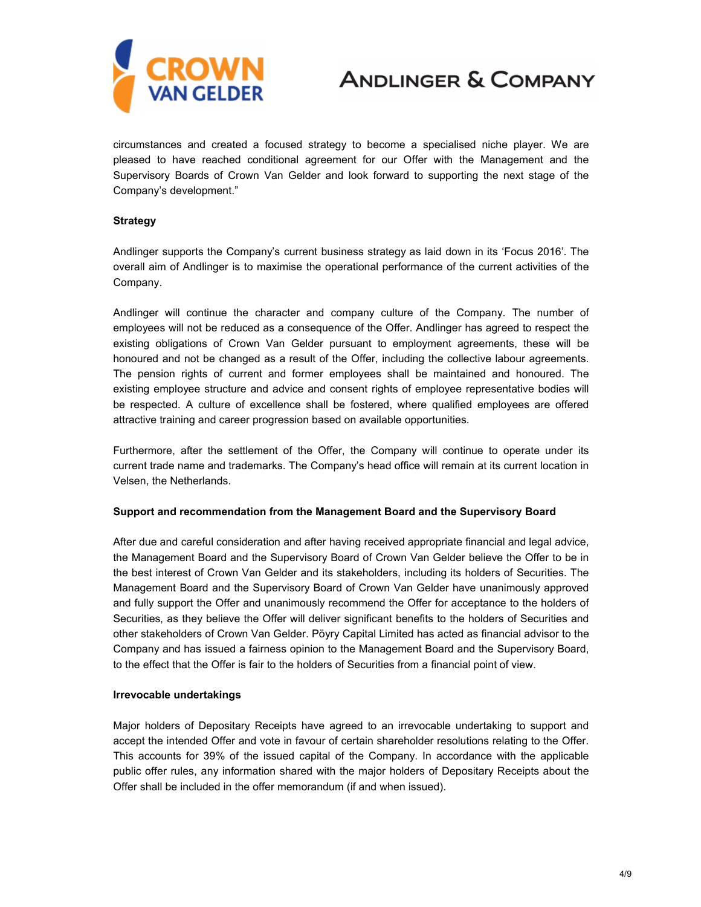

circumstances and created a focused strategy to become a specialised niche player. We are pleased to have reached conditional agreement for our Offer with the Management and the Supervisory Boards of Crown Van Gelder and look forward to supporting the next stage of the Company's development."

#### **Strategy**

Andlinger supports the Company's current business strategy as laid down in its 'Focus 2016'. The overall aim of Andlinger is to maximise the operational performance of the current activities of the Company.

Andlinger will continue the character and company culture of the Company. The number of employees will not be reduced as a consequence of the Offer. Andlinger has agreed to respect the existing obligations of Crown Van Gelder pursuant to employment agreements, these will be honoured and not be changed as a result of the Offer, including the collective labour agreements. The pension rights of current and former employees shall be maintained and honoured. The existing employee structure and advice and consent rights of employee representative bodies will be respected. A culture of excellence shall be fostered, where qualified employees are offered attractive training and career progression based on available opportunities.

Furthermore, after the settlement of the Offer, the Company will continue to operate under its current trade name and trademarks. The Company's head office will remain at its current location in Velsen, the Netherlands.

#### **Support and recommendation from the Management Board and the Supervisory Board**

After due and careful consideration and after having received appropriate financial and legal advice, the Management Board and the Supervisory Board of Crown Van Gelder believe the Offer to be in the best interest of Crown Van Gelder and its stakeholders, including its holders of Securities. The Management Board and the Supervisory Board of Crown Van Gelder have unanimously approved and fully support the Offer and unanimously recommend the Offer for acceptance to the holders of Securities, as they believe the Offer will deliver significant benefits to the holders of Securities and other stakeholders of Crown Van Gelder. Pöyry Capital Limited has acted as financial advisor to the Company and has issued a fairness opinion to the Management Board and the Supervisory Board, to the effect that the Offer is fair to the holders of Securities from a financial point of view.

#### **Irrevocable undertakings**

Major holders of Depositary Receipts have agreed to an irrevocable undertaking to support and accept the intended Offer and vote in favour of certain shareholder resolutions relating to the Offer. This accounts for 39% of the issued capital of the Company. In accordance with the applicable public offer rules, any information shared with the major holders of Depositary Receipts about the Offer shall be included in the offer memorandum (if and when issued).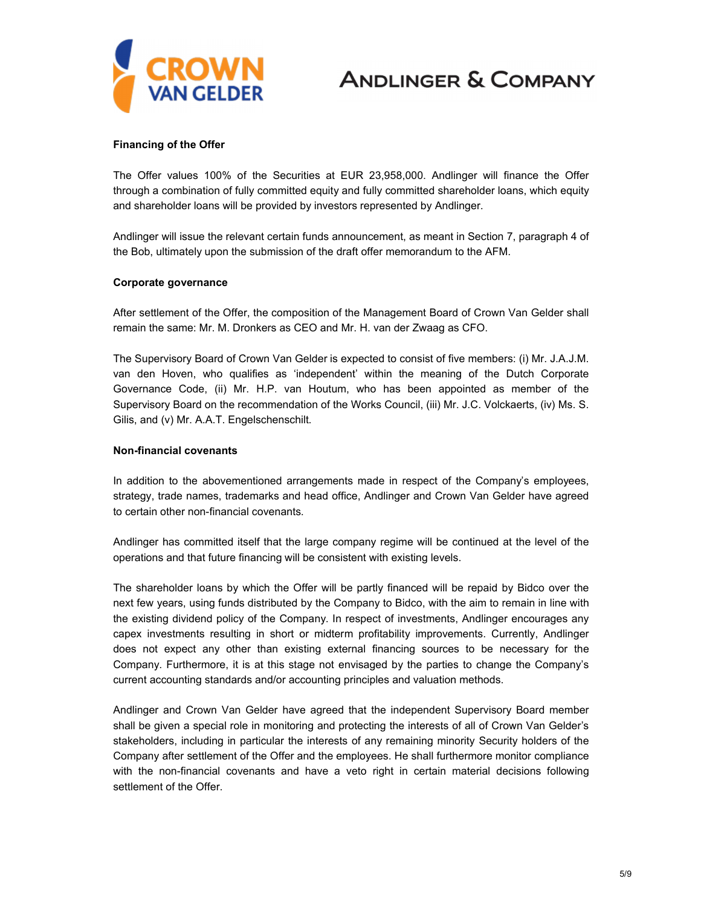

#### **Financing of the Offer**

The Offer values 100% of the Securities at EUR 23,958,000. Andlinger will finance the Offer through a combination of fully committed equity and fully committed shareholder loans, which equity and shareholder loans will be provided by investors represented by Andlinger.

Andlinger will issue the relevant certain funds announcement, as meant in Section 7, paragraph 4 of the Bob, ultimately upon the submission of the draft offer memorandum to the AFM.

#### **Corporate governance**

After settlement of the Offer, the composition of the Management Board of Crown Van Gelder shall remain the same: Mr. M. Dronkers as CEO and Mr. H. van der Zwaag as CFO.

The Supervisory Board of Crown Van Gelder is expected to consist of five members: (i) Mr. J.A.J.M. van den Hoven, who qualifies as 'independent' within the meaning of the Dutch Corporate Governance Code, (ii) Mr. H.P. van Houtum, who has been appointed as member of the Supervisory Board on the recommendation of the Works Council, (iii) Mr. J.C. Volckaerts, (iv) Ms. S. Gilis, and (v) Mr. A.A.T. Engelschenschilt.

#### **Non-financial covenants**

In addition to the abovementioned arrangements made in respect of the Company's employees, strategy, trade names, trademarks and head office, Andlinger and Crown Van Gelder have agreed to certain other non-financial covenants.

Andlinger has committed itself that the large company regime will be continued at the level of the operations and that future financing will be consistent with existing levels.

The shareholder loans by which the Offer will be partly financed will be repaid by Bidco over the next few years, using funds distributed by the Company to Bidco, with the aim to remain in line with the existing dividend policy of the Company. In respect of investments, Andlinger encourages any capex investments resulting in short or midterm profitability improvements. Currently, Andlinger does not expect any other than existing external financing sources to be necessary for the Company. Furthermore, it is at this stage not envisaged by the parties to change the Company's current accounting standards and/or accounting principles and valuation methods.

Andlinger and Crown Van Gelder have agreed that the independent Supervisory Board member shall be given a special role in monitoring and protecting the interests of all of Crown Van Gelder's stakeholders, including in particular the interests of any remaining minority Security holders of the Company after settlement of the Offer and the employees. He shall furthermore monitor compliance with the non-financial covenants and have a veto right in certain material decisions following settlement of the Offer.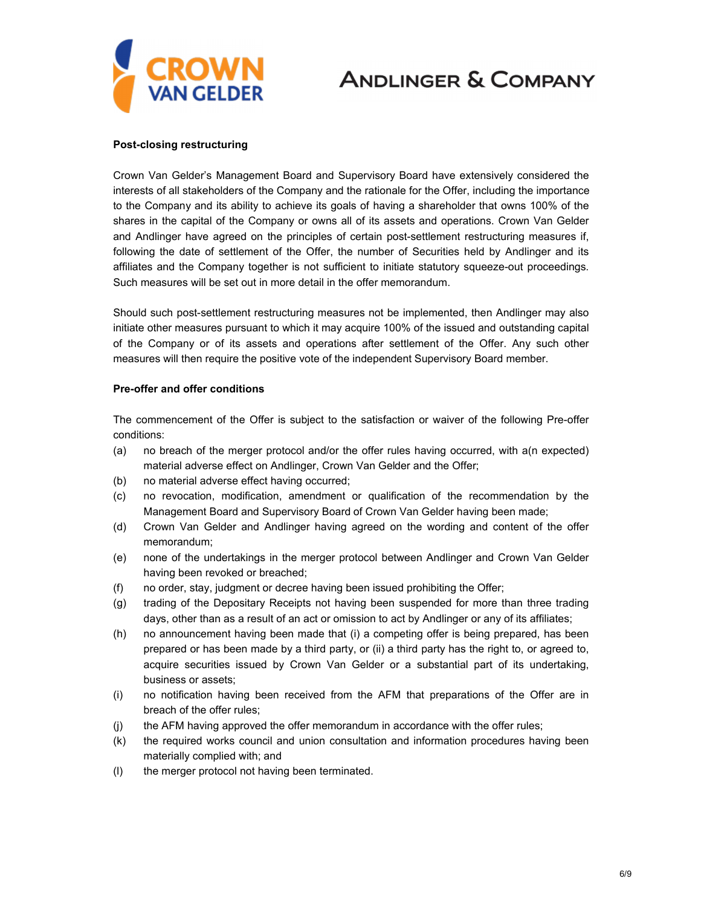

#### **Post-closing restructuring**

Crown Van Gelder's Management Board and Supervisory Board have extensively considered the interests of all stakeholders of the Company and the rationale for the Offer, including the importance to the Company and its ability to achieve its goals of having a shareholder that owns 100% of the shares in the capital of the Company or owns all of its assets and operations. Crown Van Gelder and Andlinger have agreed on the principles of certain post-settlement restructuring measures if, following the date of settlement of the Offer, the number of Securities held by Andlinger and its affiliates and the Company together is not sufficient to initiate statutory squeeze-out proceedings. Such measures will be set out in more detail in the offer memorandum.

Should such post-settlement restructuring measures not be implemented, then Andlinger may also initiate other measures pursuant to which it may acquire 100% of the issued and outstanding capital of the Company or of its assets and operations after settlement of the Offer. Any such other measures will then require the positive vote of the independent Supervisory Board member.

#### **Pre-offer and offer conditions**

The commencement of the Offer is subject to the satisfaction or waiver of the following Pre-offer conditions:

- (a) no breach of the merger protocol and/or the offer rules having occurred, with a(n expected) material adverse effect on Andlinger, Crown Van Gelder and the Offer;
- (b) no material adverse effect having occurred;
- (c) no revocation, modification, amendment or qualification of the recommendation by the Management Board and Supervisory Board of Crown Van Gelder having been made;
- (d) Crown Van Gelder and Andlinger having agreed on the wording and content of the offer memorandum;
- (e) none of the undertakings in the merger protocol between Andlinger and Crown Van Gelder having been revoked or breached;
- (f) no order, stay, judgment or decree having been issued prohibiting the Offer;
- (g) trading of the Depositary Receipts not having been suspended for more than three trading days, other than as a result of an act or omission to act by Andlinger or any of its affiliates;
- (h) no announcement having been made that (i) a competing offer is being prepared, has been prepared or has been made by a third party, or (ii) a third party has the right to, or agreed to, acquire securities issued by Crown Van Gelder or a substantial part of its undertaking, business or assets;
- (i) no notification having been received from the AFM that preparations of the Offer are in breach of the offer rules;
- (j) the AFM having approved the offer memorandum in accordance with the offer rules;
- (k) the required works council and union consultation and information procedures having been materially complied with; and
- (l) the merger protocol not having been terminated.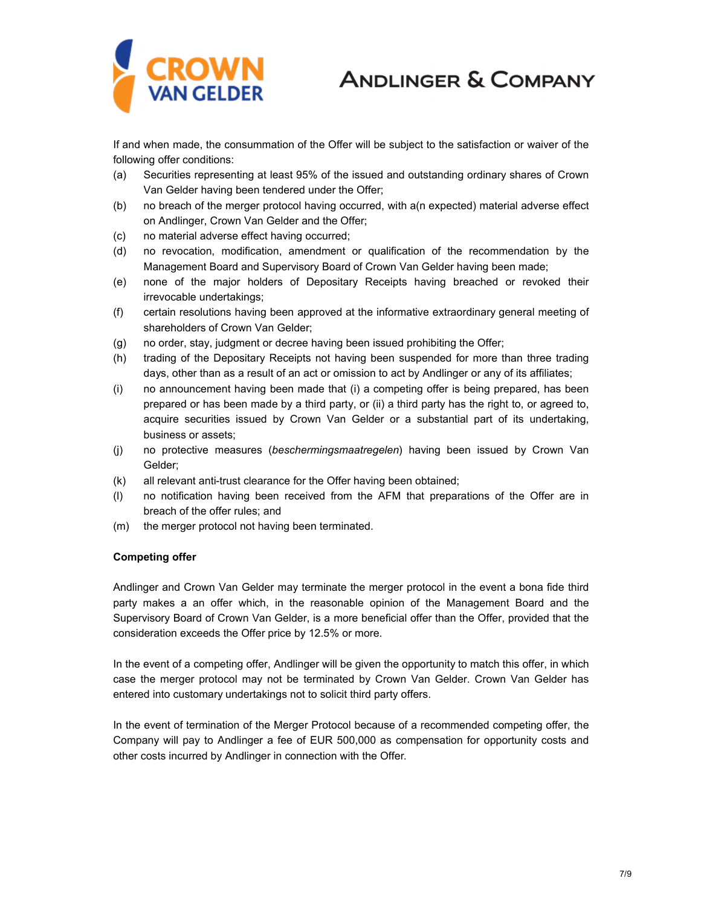

If and when made, the consummation of the Offer will be subject to the satisfaction or waiver of the following offer conditions:

- (a) Securities representing at least 95% of the issued and outstanding ordinary shares of Crown Van Gelder having been tendered under the Offer;
- (b) no breach of the merger protocol having occurred, with a(n expected) material adverse effect on Andlinger, Crown Van Gelder and the Offer;
- (c) no material adverse effect having occurred;
- (d) no revocation, modification, amendment or qualification of the recommendation by the Management Board and Supervisory Board of Crown Van Gelder having been made;
- (e) none of the major holders of Depositary Receipts having breached or revoked their irrevocable undertakings;
- (f) certain resolutions having been approved at the informative extraordinary general meeting of shareholders of Crown Van Gelder;
- (g) no order, stay, judgment or decree having been issued prohibiting the Offer;
- (h) trading of the Depositary Receipts not having been suspended for more than three trading days, other than as a result of an act or omission to act by Andlinger or any of its affiliates;
- (i) no announcement having been made that (i) a competing offer is being prepared, has been prepared or has been made by a third party, or (ii) a third party has the right to, or agreed to, acquire securities issued by Crown Van Gelder or a substantial part of its undertaking, business or assets;
- (j) no protective measures (*beschermingsmaatregelen*) having been issued by Crown Van Gelder;
- (k) all relevant anti-trust clearance for the Offer having been obtained;
- (l) no notification having been received from the AFM that preparations of the Offer are in breach of the offer rules; and
- (m) the merger protocol not having been terminated.

#### **Competing offer**

Andlinger and Crown Van Gelder may terminate the merger protocol in the event a bona fide third party makes a an offer which, in the reasonable opinion of the Management Board and the Supervisory Board of Crown Van Gelder, is a more beneficial offer than the Offer, provided that the consideration exceeds the Offer price by 12.5% or more.

In the event of a competing offer, Andlinger will be given the opportunity to match this offer, in which case the merger protocol may not be terminated by Crown Van Gelder. Crown Van Gelder has entered into customary undertakings not to solicit third party offers.

In the event of termination of the Merger Protocol because of a recommended competing offer, the Company will pay to Andlinger a fee of EUR 500,000 as compensation for opportunity costs and other costs incurred by Andlinger in connection with the Offer.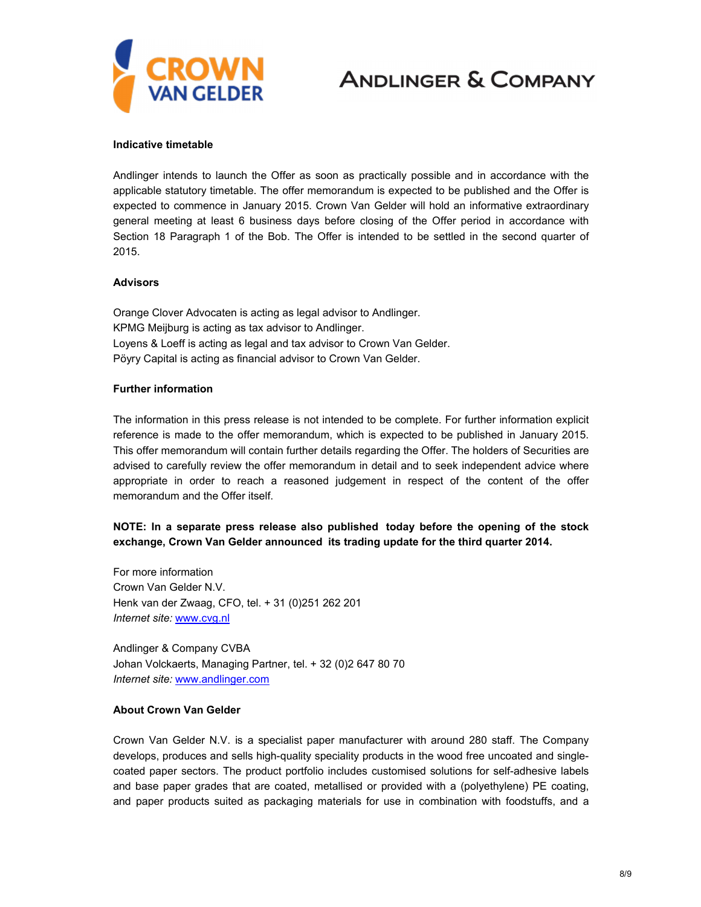

#### **Indicative timetable**

Andlinger intends to launch the Offer as soon as practically possible and in accordance with the applicable statutory timetable. The offer memorandum is expected to be published and the Offer is expected to commence in January 2015. Crown Van Gelder will hold an informative extraordinary general meeting at least 6 business days before closing of the Offer period in accordance with Section 18 Paragraph 1 of the Bob. The Offer is intended to be settled in the second quarter of 2015.

#### **Advisors**

Orange Clover Advocaten is acting as legal advisor to Andlinger. KPMG Meijburg is acting as tax advisor to Andlinger. Loyens & Loeff is acting as legal and tax advisor to Crown Van Gelder. Pöyry Capital is acting as financial advisor to Crown Van Gelder.

#### **Further information**

The information in this press release is not intended to be complete. For further information explicit reference is made to the offer memorandum, which is expected to be published in January 2015. This offer memorandum will contain further details regarding the Offer. The holders of Securities are advised to carefully review the offer memorandum in detail and to seek independent advice where appropriate in order to reach a reasoned judgement in respect of the content of the offer memorandum and the Offer itself.

#### **NOTE: In a separate press release also published today before the opening of the stock exchange, Crown Van Gelder announced its trading update for the third quarter 2014.**

For more information Crown Van Gelder N.V. Henk van der Zwaag, CFO, tel. + 31 (0)251 262 201 *Internet site:* www.cvg.nl

Andlinger [& Company](http://www.cvg.nl/) CVBA Johan Volckaerts, Managing Partner, tel. + 32 (0)2 647 80 70 *Internet site:* www.andlinger.com

#### **About C[rown Van Gelder](http://www.andlinger.com/)**

Crown Van Gelder N.V. is a specialist paper manufacturer with around 280 staff. The Company develops, produces and sells high-quality speciality products in the wood free uncoated and singlecoated paper sectors. The product portfolio includes customised solutions for self-adhesive labels and base paper grades that are coated, metallised or provided with a (polyethylene) PE coating, and paper products suited as packaging materials for use in combination with foodstuffs, and a